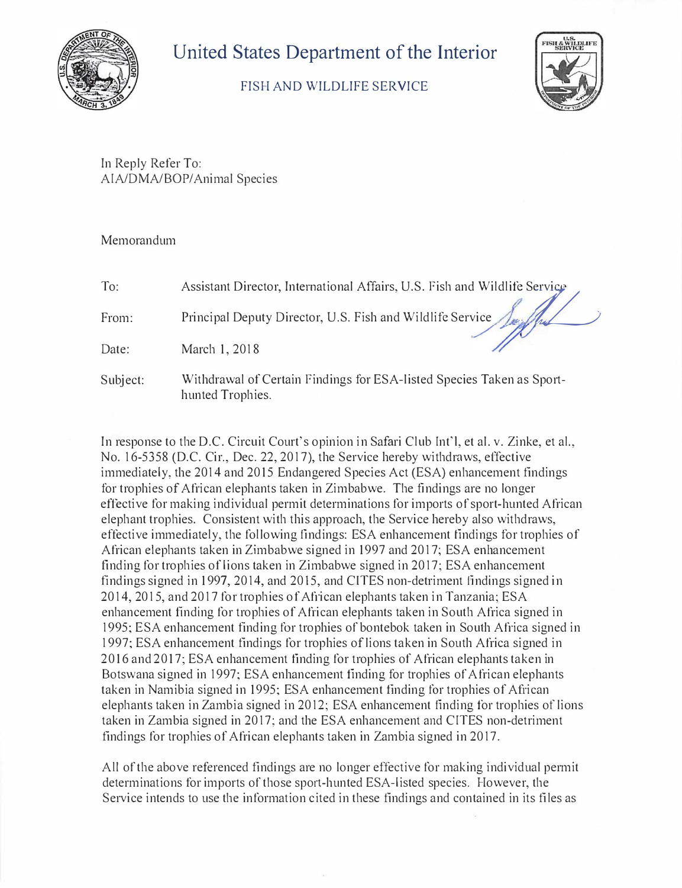

## **United States Department of the Interior**

## FISH AND WILDLIFE SERVICE



In Reply Refer To: AIA/DMA/BOP/Animal Species

## Memorandum

| To:      | Assistant Director, International Affairs, U.S. Fish and Wildlife Service                 |
|----------|-------------------------------------------------------------------------------------------|
| From:    | Principal Deputy Director, U.S. Fish and Wildlife Service Jay Jul                         |
| Date:    | March 1, 2018                                                                             |
| Subject: | Withdrawal of Certain Findings for ESA-listed Species Taken as Sport-<br>hunted Trophies. |

In response to the D.C. Circuit Court's opinion in Safari Club Int'l, et al. v. Zinke, et al., No. 16-5358 (D.C. Cir., Dec. 22, 2017), the Service hereby withdraws, effective immediately, the 2014 and 2015 Endangered Species Act (ESA) enhancement findings for trophies of African elephants taken in Zimbabwe. The findings are no longer effective for making individual permit determinations for imports of sport-hunted African elephant trophies. Consistent with this approach, the Service hereby also withdraws, effective immediately, the following findings: ESA enhancement findings for trophies of African elephants taken in Zimbabwe signed in 1997 and 2017; ESA enhancement finding for trophies of lions taken in Zimbabwe signed in 2017; ESA enhancement findings signed in 1997, 2014, and 2015, and CITES non-detriment findings signed in 2014, 2015, and 2017 for trophies of Af<sup>r</sup> ican elephants taken in Tanzania; ESA enhancement finding for trophies of African elephants taken in South Africa signed in 1995; ESA enhancement finding for trophies of bontebok taken in South Africa signed in 1997; ESA enhancement findings for trophies of lions taken in South Africa signed in 2016 and 2017; ESA enhancement finding for trophies of African elephants taken in Botswana signed in 1997; ESA enhancement finding for trophies of African elephants taken in Namibia signed in 1995; ESA enhancement finding for trophies of African elephants taken in Zambia signed in 2012; ESA enhancement finding for trophies of lions taken in Zambia signed in 2017; and the ESA enhancement and CITES non-detriment findings for trophies of African elephants taken in Zambia signed in 2017.

All of the above referenced findings are no longer effective for making individual permit determinations for imports of those sport-hunted ESA-listed species. However, the Service intends to use the information cited in these findings and contained in its files as